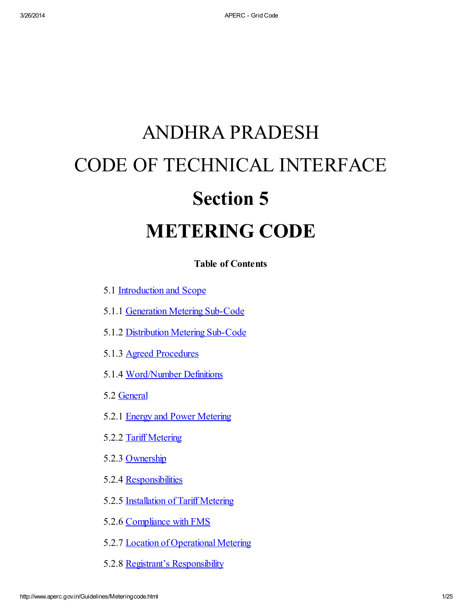# ANDHRA PRADESH CODE OF TECHNICAL INTERFACE Section 5 METERING CODE

Table of Contents

- 5.1 [Introduction](#page-3-0) and Scope
- 5.1.1 [Generation](#page-4-0) Metering Sub-Code
- 5.1.2 Distribution Metering Sub-Code
- 5.1.3 Agreed Procedures
- 5.1.4 Word/Number Definitions
- 5.2 [General](#page-5-0)
- 5.2.1 Energy and Power [Metering](#page-5-1)
- 5.2.2 Tariff Metering
- 5.2.3 Ownership
- 5.2.4 Responsibilities
- 5.2.5 Installation of Tariff Metering
- 5.2.6 Compliance with FMS
- 5.2.7 Location of Operational Metering
- 5.2.8 Registrant's Responsibility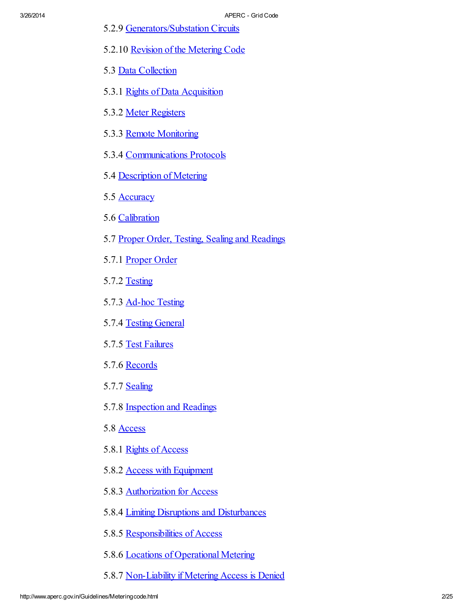- 5.2.9 Generators/Substation Circuits
- 5.2.10 Revision of the [Metering](#page-8-0) Code
- 5.3 Data [Collection](#page-8-1)
- 5.3.1 Rights of Data [Acquisition](#page-8-2)
- 5.3.2 Meter Registers
- 5.3.3 Remote Monitoring
- 5.3.4 Communications Protocols
- 5.4 [Description](#page-8-3) of Metering
- 5.5 [Accuracy](#page-9-0)
- 5.6 [Calibration](#page-9-1)
- 5.7 Proper Order, Testing, Sealing and [Readings](#page-9-2)
- 5.7.1 [Proper](#page-9-3) Order
- 5.7.2 Testing
- 5.7.3 Ad-hoc Testing
- 5.7.4 Testing [General](#page-11-0)
- 5.7.5 Test [Failures](#page-12-0)
- 5.7.6 Records
- 5.7.7 **Sealing**
- 5.7.8 Inspection and Readings
- 5.8 [Access](#page-15-0)
- 5.8.1 Rights of [Access](#page-15-1)
- 5.8.2 Access with [Equipment](#page-16-0)
- 5.8.3 [Authorization](#page-16-1) for Access
- 5.8.4 Limiting Disruptions and [Disturbances](#page-16-2)
- 5.8.5 [Responsibilities](#page-16-3) of Access
- 5.8.6 Locations of [Operational](#page-17-0) Metering
- 5.8.7 [Non-Liability](#page-17-1) if Metering Access is Denied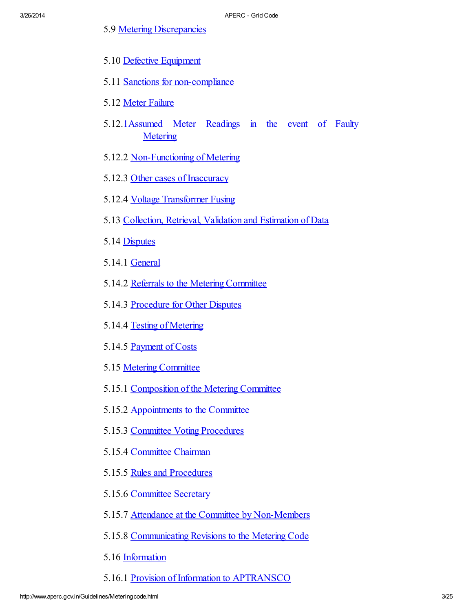- 5.9 Metering [Discrepancies](#page-17-2)
- 5.10 Defective [Equipment](#page-18-0)
- 5.11 Sanctions for [non-compliance](#page-18-1)
- 5.12 Meter [Failure](#page-18-2)
- 5.12.[1Assumed](#page-18-3) Meter Readings in the event of Faulty **[Metering](#page-18-3)**
- 5.12.2 Non-Functioning of Metering
- 5.12.3 Other cases of Inaccuracy
- 5.12.4 Voltage [Transformer](#page-19-0) Fusing
- 5.13 [Collection,](#page-19-1) Retrieval, Validation and Estimation of Data
- 5.14 [Disputes](#page-19-2)
- 5.14.1 [General](#page-19-3)
- 5.14.2 Referrals to the Metering [Committee](#page-19-4)
- 5.14.3 [Procedure](#page-20-0) for Other Disputes
- 5.14.4 Testing of [Metering](#page-20-1)
- 5.14.5 [Payment](#page-20-2) of Costs
- 5.15 Metering [Committee](#page-20-3)
- 5.15.1 [Composition](#page-20-4) of the Metering Committee
- 5.15.2 [Appointments](#page-21-0) to the Committee
- 5.15.3 Committee Voting Procedures
- 5.15.4 [Committee](#page-21-1) Chairman
- 5.15.5 Rules and [Procedures](#page-21-2)
- 5.15.6 [Committee](#page-21-3) Secretary
- 5.15.7 Attendance at the Committee by [Non-Members](#page-21-4)
- 5.15.8 [Communicating](#page-22-0) Revisions to the Metering Code
- 5.16 [Information](#page-22-1)
- 5.16.1 Provision of Information to [APTRANSCO](#page-22-2)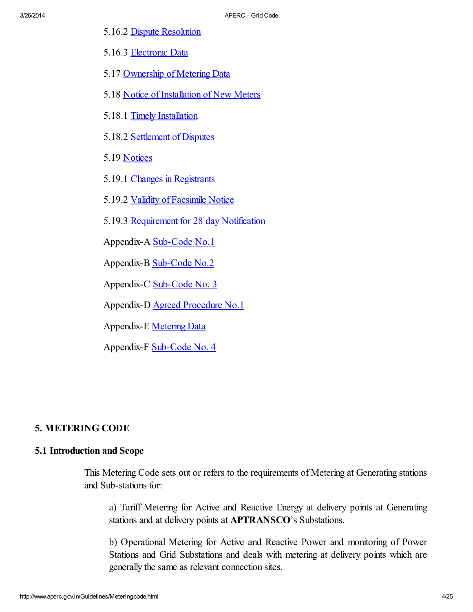- 5.16.2 Dispute [Resolution](#page-22-3)
- 5.16.3 [Electronic](#page-22-4) Data
- 5.17 [Ownership](#page-23-0) of Metering Data
- 5.18 Notice of [Installation](#page-23-1) of New Meters
- 5.18.1 Timely [Installation](#page-23-2)
- 5.18.2 [Settlement](#page-23-3) of Disputes
- 5.19 [Notices](#page-24-0)
- 5.19.1 Changes in [Registrants](#page-24-1)
- 5.19.2 Validity of [Facsimile](#page-24-2) Notice
- 5.19.3 [Requirement](#page-24-3) for 28 day Notification

Appendix-A [Sub-Code](http://www.aperc.gov.in/Guidelines/mcappendixA.htm) No.1

Appendix-B [Sub-Code](http://www.aperc.gov.in/Guidelines/mcappendixB.htm) No.2

Appendix-C [Sub-Code](http://www.aperc.gov.in/Guidelines/mcappendixC.htm) No. 3

Appendix-D Agreed [Procedure](http://www.aperc.gov.in/Guidelines/mcappendixD.htm) No.1

Appendix-E [Metering](http://www.aperc.gov.in/Guidelines/mcappendixE.htm) Data

Appendix-F [Sub-Code](http://www.aperc.gov.in/Guidelines/mcappendixF.htm) No. 4

# 5. METERING CODE

# <span id="page-3-0"></span>5.1 Introduction and Scope

This Metering Code sets out or refers to the requirements of Metering at Generating stations and Sub-stations for:

a) Tariff Metering for Active and Reactive Energy at delivery points at Generating stations and at delivery points at **APTRANSCO**'s Substations.

b) Operational Metering for Active and Reactive Power and monitoring of Power Stations and Grid Substations and deals with metering at delivery points which are generally the same as relevant connection sites.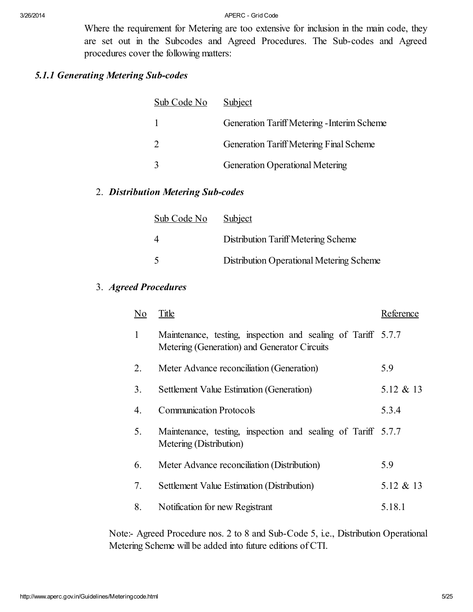Where the requirement for Metering are too extensive for inclusion in the main code, they are set out in the Subcodes and Agreed Procedures. The Sub-codes and Agreed procedures cover the following matters:

# <span id="page-4-0"></span>*5.1.1 Generating Metering Sub-codes*

| Sub Code No | Subject                                     |
|-------------|---------------------------------------------|
|             | Generation Tariff Metering - Interim Scheme |
|             | Generation Tariff Metering Final Scheme     |
|             | <b>Generation Operational Metering</b>      |

# 2. *Distribution Metering Sub-codes*

| Sub Code No | Subject                                  |
|-------------|------------------------------------------|
|             | Distribution Tariff Metering Scheme      |
| -5          | Distribution Operational Metering Scheme |

3. *Agreed Procedures*

| No | Title                                                                                                        | Reference |
|----|--------------------------------------------------------------------------------------------------------------|-----------|
| 1  | Maintenance, testing, inspection and sealing of Tariff 5.7.7<br>Metering (Generation) and Generator Circuits |           |
| 2. | Meter Advance reconciliation (Generation)                                                                    | 5.9       |
| 3. | Settlement Value Estimation (Generation)                                                                     | 5.12 & 13 |
| 4. | <b>Communication Protocols</b>                                                                               | 5.3.4     |
| 5. | Maintenance, testing, inspection and sealing of Tariff 5.7.7<br>Metering (Distribution)                      |           |
| 6. | Meter Advance reconciliation (Distribution)                                                                  | 5.9       |
| 7. | Settlement Value Estimation (Distribution)                                                                   | 5.12 & 13 |
| 8. | Notification for new Registrant                                                                              | 5.18.1    |

Note:- Agreed Procedure nos. 2 to 8 and Sub-Code 5, i.e., Distribution Operational Metering Scheme will be added into future editions of CTI.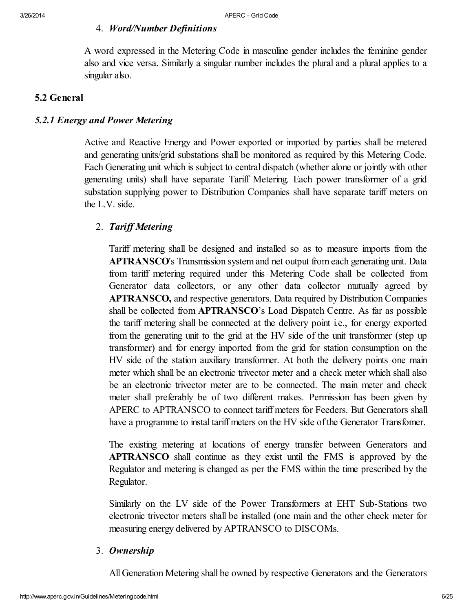# 4. *Word/Number Definitions*

A word expressed in the Metering Code in masculine gender includes the feminine gender also and vice versa. Similarly a singular number includes the plural and a plural applies to a singular also.

# <span id="page-5-0"></span>5.2 General

# <span id="page-5-1"></span>*5.2.1 Energy and Power Metering*

Active and Reactive Energy and Power exported or imported by parties shall be metered and generating units/grid substations shall be monitored as required by this Metering Code. Each Generating unit which is subject to central dispatch (whether alone or jointly with other generating units) shall have separate Tariff Metering. Each power transformer of a grid substation supplying power to Distribution Companies shall have separate tariff meters on the L.V. side.

# 2. *Tarif Metering*

Tariff metering shall be designed and installed so as to measure imports from the APTRANSCO's Transmission system and net output from each generating unit. Data from tariff metering required under this Metering Code shall be collected from Generator data collectors, or any other data collector mutually agreed by APTRANSCO, and respective generators. Data required by Distribution Companies shall be collected from APTRANSCO's Load Dispatch Centre. As far as possible the tariff metering shall be connected at the delivery point i.e., for energy exported from the generating unit to the grid at the HV side of the unit transformer (step up transformer) and for energy imported from the grid for station consumption on the HV side of the station auxiliary transformer. At both the delivery points one main meter which shall be an electronic trivector meter and a check meter which shall also be an electronic trivector meter are to be connected. The main meter and check meter shall preferably be of two different makes. Permission has been given by APERC to APTRANSCO to connect tariff meters for Feeders. But Generators shall have a programme to instal tariff meters on the HV side of the Generator Transfomer.

The existing metering at locations of energy transfer between Generators and APTRANSCO shall continue as they exist until the FMS is approved by the Regulator and metering is changed as per the FMS within the time prescribed by the Regulator.

Similarly on the LV side of the Power Transformers at EHT Sub-Stations two electronic trivector meters shall be installed (one main and the other check meter for measuring energy delivered by APTRANSCO to DISCOMs.

# 3. *Ownership*

All Generation Metering shall be owned by respective Generators and the Generators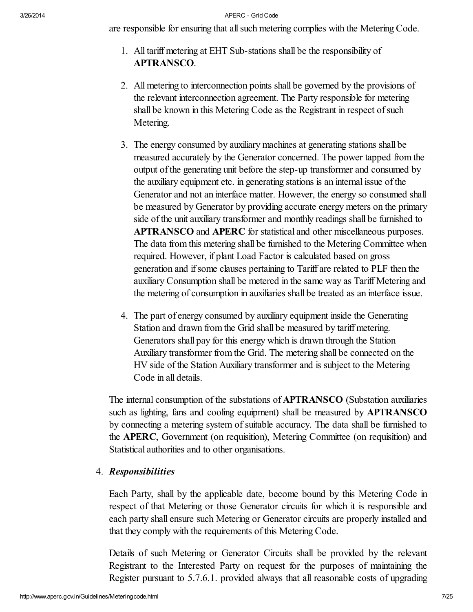are responsible for ensuring that allsuch metering complies with the Metering Code.

- 1. All tariff metering at EHT Sub-stations shall be the responsibility of APTRANSCO.
- 2. All metering to interconnection points shall be governed by the provisions of the relevant interconnection agreement. The Party responsible for metering shall be known in this Metering Code as the Registrant in respect of such Metering.
- 3. The energy consumed by auxiliary machines at generating stations shall be measured accurately by the Generator concerned. The power tapped from the output of the generating unit before the step-up transformer and consumed by the auxiliary equipment etc. in generating stations is an internal issue of the Generator and not an interface matter. However, the energy so consumed shall be measured by Generator by providing accurate energy meters on the primary side of the unit auxiliary transformer and monthly readings shall be furnished to APTRANSCO and APERC for statistical and other miscellaneous purposes. The data from this metering shall be furnished to the Metering Committee when required. However, if plant Load Factor is calculated based on gross generation and ifsome clauses pertaining to Tariff are related to PLF then the auxiliary Consumption shall be metered in the same way as Tariff Metering and the metering of consumption in auxiliaries shall be treated as an interface issue.
- 4. The part of energy consumed by auxiliary equipment inside the Generating Station and drawn from the Grid shall be measured by tariff metering. Generators shall pay for this energy which is drawn through the Station Auxiliary transformer from the Grid. The metering shall be connected on the HV side of the Station Auxiliary transformer and is subject to the Metering Code in all details.

The internal consumption of the substations of APTRANSCO (Substation auxiliaries such as lighting, fans and cooling equipment) shall be measured by APTRANSCO by connecting a metering system of suitable accuracy. The data shall be furnished to the APERC, Government (on requisition), Metering Committee (on requisition) and Statistical authorities and to other organisations.

# 4. *Responsibilities*

Each Party, shall by the applicable date, become bound by this Metering Code in respect of that Metering or those Generator circuits for which it is responsible and each party shall ensure such Metering or Generator circuits are properly installed and that they comply with the requirements of this Metering Code.

Details of such Metering or Generator Circuits shall be provided by the relevant Registrant to the Interested Party on request for the purposes of maintaining the Register pursuant to 5.7.6.1. provided always that all reasonable costs of upgrading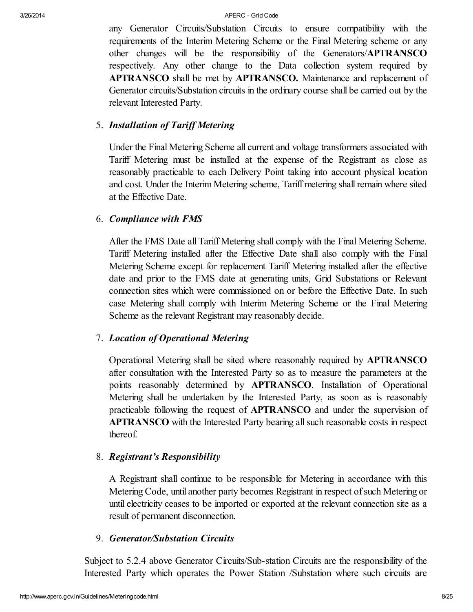any Generator Circuits/Substation Circuits to ensure compatibility with the requirements of the Interim Metering Scheme or the Final Metering scheme or any other changes will be the responsibility of the Generators/APTRANSCO respectively. Any other change to the Data collection system required by APTRANSCO shall be met by APTRANSCO. Maintenance and replacement of Generator circuits/Substation circuits in the ordinary course shall be carried out by the relevant Interested Party.

# 5. *Installation of Tarif Metering*

Under the Final Metering Scheme all current and voltage transformers associated with Tariff Metering must be installed at the expense of the Registrant as close as reasonably practicable to each Delivery Point taking into account physical location and cost. Under the Interim Metering scheme, Tariff metering shall remain where sited at the Effective Date.

# 6. *Compliance with FMS*

After the FMS Date all Tariff Metering shall comply with the Final Metering Scheme. Tariff Metering installed after the Effective Date shall also comply with the Final Metering Scheme except for replacement Tariff Metering installed after the effective date and prior to the FMS date at generating units, Grid Substations or Relevant connection sites which were commissioned on or before the Effective Date. In such case Metering shall comply with Interim Metering Scheme or the Final Metering Scheme as the relevant Registrant may reasonably decide.

# 7. *Location of Operational Metering*

Operational Metering shall be sited where reasonably required by APTRANSCO after consultation with the Interested Party so as to measure the parameters at the points reasonably determined by APTRANSCO. Installation of Operational Metering shall be undertaken by the Interested Party, as soon as is reasonably practicable following the request of APTRANSCO and under the supervision of APTRANSCO with the Interested Party bearing allsuch reasonable costs in respect thereof.

# 8. *Registrant's Responsibility*

A Registrant shall continue to be responsible for Metering in accordance with this Metering Code, until another party becomes Registrant in respect of such Metering or until electricity ceases to be imported or exported at the relevant connection site as a result of permanent disconnection.

# 9. *Generator/Substation Circuits*

Subject to 5.2.4 above Generator Circuits/Sub-station Circuits are the responsibility of the Interested Party which operates the Power Station /Substation where such circuits are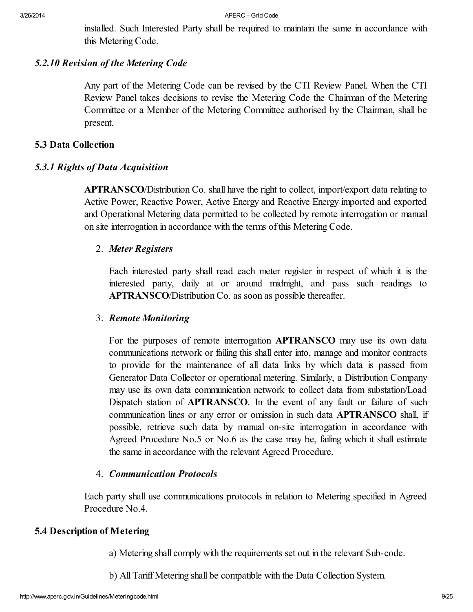installed. Such Interested Party shall be required to maintain the same in accordance with this Metering Code.

# <span id="page-8-0"></span>*5.2.10 Revision of the Metering Code*

Any part of the Metering Code can be revised by the CTI Review Panel. When the CTI Review Panel takes decisions to revise the Metering Code the Chairman of the Metering Committee or a Member of the Metering Committee authorised by the Chairman, shall be present.

# <span id="page-8-1"></span>5.3 Data Collection

# <span id="page-8-2"></span>*5.3.1 Rights of Data Acquisition*

APTRANSCO/Distribution Co. shall have the right to collect, import/export data relating to Active Power, Reactive Power, Active Energy and Reactive Energy imported and exported and Operational Metering data permitted to be collected by remote interrogation or manual on site interrogation in accordance with the terms of this Metering Code.

# 2. *Meter Registers*

Each interested party shall read each meter register in respect of which it is the interested party, daily at or around midnight, and pass such readings to APTRANSCO/Distribution Co. as soon as possible thereafter.

# 3. *Remote Monitoring*

For the purposes of remote interrogation APTRANSCO may use its own data communications network or failing this shall enter into, manage and monitor contracts to provide for the maintenance of all data links by which data is passed from Generator Data Collector or operational metering. Similarly, a Distribution Company may use its own data communication network to collect data from substation/Load Dispatch station of **APTRANSCO**. In the event of any fault or failure of such communication lines or any error or omission in such data APTRANSCO shall, if possible, retrieve such data by manual on-site interrogation in accordance with Agreed Procedure No.5 or No.6 as the case may be, failing which it shall estimate the same in accordance with the relevant Agreed Procedure.

# 4. *Communication Protocols*

Each party shall use communications protocols in relation to Metering specified in Agreed Procedure No.4.

# <span id="page-8-3"></span>5.4 Description of Metering

a) Metering shall comply with the requirements set out in the relevant Sub-code.

b) All Tariff Metering shall be compatible with the Data Collection System.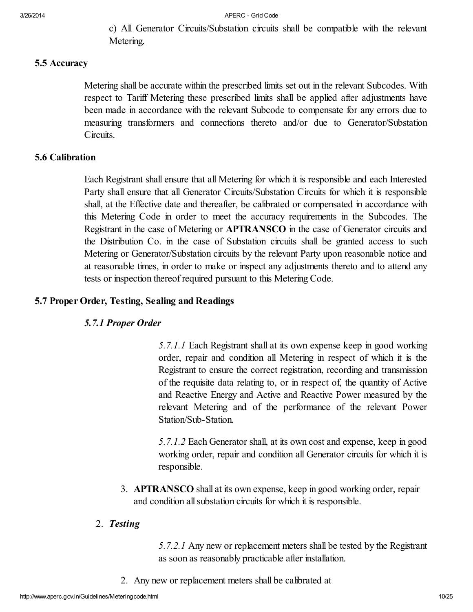c) All Generator Circuits/Substation circuits shall be compatible with the relevant Metering.

#### <span id="page-9-0"></span>5.5 Accuracy

Metering shall be accurate within the prescribed limits set out in the relevant Subcodes. With respect to Tariff Metering these prescribed limits shall be applied after adjustments have been made in accordance with the relevant Subcode to compensate for any errors due to measuring transformers and connections thereto and/or due to Generator/Substation Circuits.

# <span id="page-9-1"></span>5.6 Calibration

Each Registrant shall ensure that all Metering for which it is responsible and each Interested Party shall ensure that all Generator Circuits/Substation Circuits for which it is responsible shall, at the Effective date and thereafter, be calibrated or compensated in accordance with this Metering Code in order to meet the accuracy requirements in the Subcodes. The Registrant in the case of Metering or APTRANSCO in the case of Generator circuits and the Distribution Co. in the case of Substation circuits shall be granted access to such Metering or Generator/Substation circuits by the relevant Party upon reasonable notice and at reasonable times, in order to make or inspect any adjustments thereto and to attend any tests or inspection thereof required pursuant to this Metering Code.

#### <span id="page-9-2"></span>5.7 Proper Order, Testing, Sealing and Readings

#### <span id="page-9-3"></span>*5.7.1 Proper Order*

*5.7.1.1* Each Registrant shall at its own expense keep in good working order, repair and condition all Metering in respect of which it is the Registrant to ensure the correct registration, recording and transmission of the requisite data relating to, or in respect of, the quantity of Active and Reactive Energy and Active and Reactive Power measured by the relevant Metering and of the performance of the relevant Power Station/Sub-Station.

*5.7.1.2* Each Generator shall, at its own cost and expense, keep in good working order, repair and condition all Generator circuits for which it is responsible.

3. APTRANSCO shall at its own expense, keep in good working order, repair and condition all substation circuits for which it is responsible.

# 2. *Testing*

*5.7.2.1* Any new or replacement meters shall be tested by the Registrant as soon as reasonably practicable after installation.

2. Any new or replacement meters shall be calibrated at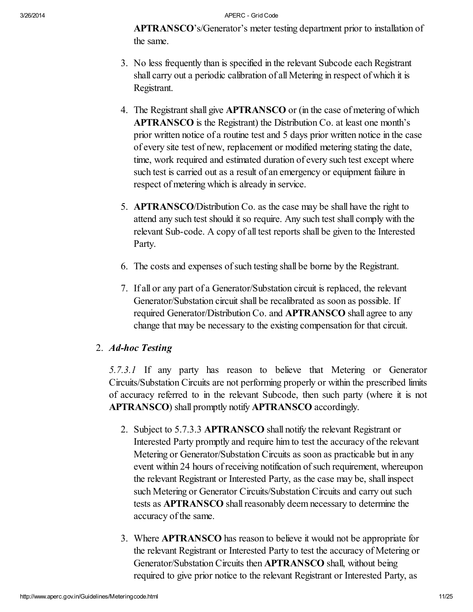APTRANSCO's/Generator's meter testing department prior to installation of the same.

- 3. No less frequently than is specified in the relevant Subcode each Registrant shall carry out a periodic calibration of all Metering in respect of which it is Registrant.
- 4. The Registrant shall give APTRANSCO or (in the case of metering of which APTRANSCO is the Registrant) the Distribution Co. at least one month's prior written notice of a routine test and 5 days prior written notice in the case of every site test of new, replacement or modified metering stating the date, time, work required and estimated duration of every such test except where such test is carried out as a result of an emergency or equipment failure in respect of metering which is already in service.
- 5. APTRANSCO/Distribution Co. as the case may be shall have the right to attend any such test should it so require. Any such test shall comply with the relevant Sub-code. A copy of all test reports shall be given to the Interested Party.
- 6. The costs and expenses ofsuch testing shall be borne by the Registrant.
- 7. If all or any part of a Generator/Substation circuit is replaced, the relevant Generator/Substation circuit shall be recalibrated as soon as possible. If required Generator/Distribution Co. and APTRANSCO shall agree to any change that may be necessary to the existing compensation for that circuit.

# 2. *Ad-hoc Testing*

*5.7.3.1* If any party has reason to believe that Metering or Generator Circuits/Substation Circuits are not performing properly or within the prescribed limits of accuracy referred to in the relevant Subcode, then such party (where it is not APTRANSCO) shall promptly notify APTRANSCO accordingly.

- 2. Subject to 5.7.3.3 APTRANSCO shall notify the relevant Registrant or Interested Party promptly and require him to test the accuracy of the relevant Metering or Generator/Substation Circuits as soon as practicable but in any event within 24 hours of receiving notification of such requirement, whereupon the relevant Registrant or Interested Party, as the case may be, shall inspect such Metering or Generator Circuits/Substation Circuits and carry out such tests as **APTRANSCO** shall reasonably deem necessary to determine the accuracy of the same.
- 3. Where APTRANSCO has reason to believe it would not be appropriate for the relevant Registrant or Interested Party to test the accuracy of Metering or Generator/Substation Circuits then APTRANSCO shall, without being required to give prior notice to the relevant Registrant or Interested Party, as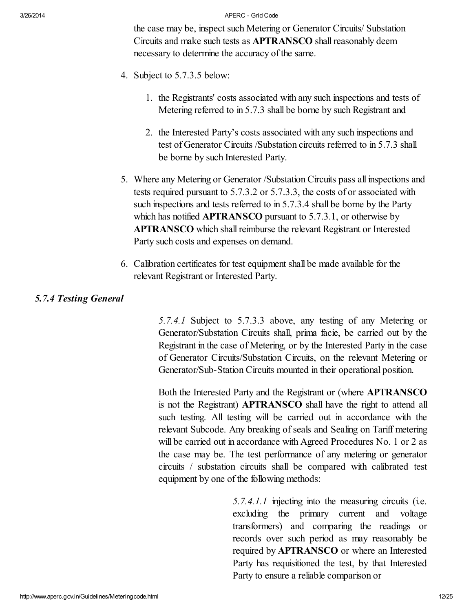the case may be, inspect such Metering or Generator Circuits/ Substation Circuits and make such tests as APTRANSCO shall reasonably deem necessary to determine the accuracy of the same.

- 4. Subject to 5.7.3.5 below:
	- 1. the Registrants' costs associated with any such inspections and tests of Metering referred to in 5.7.3 shall be borne by such Registrant and
	- 2. the Interested Party's costs associated with any such inspections and test of Generator Circuits /Substation circuits referred to in 5.7.3 shall be borne by such Interested Party.
- 5. Where any Metering or Generator /Substation Circuits pass all inspections and tests required pursuant to 5.7.3.2 or 5.7.3.3, the costs of or associated with such inspections and tests referred to in 5.7.3.4 shall be borne by the Party which has notified **APTRANSCO** pursuant to 5.7.3.1, or otherwise by APTRANSCO which shall reimburse the relevant Registrant or Interested Party such costs and expenses on demand.
- 6. Calibration certificates for test equipment shall be made available for the relevant Registrant or Interested Party.

# <span id="page-11-0"></span>*5.7.4 Testing General*

*5.7.4.1* Subject to 5.7.3.3 above, any testing of any Metering or Generator/Substation Circuits shall, prima facie, be carried out by the Registrant in the case of Metering, or by the Interested Party in the case of Generator Circuits/Substation Circuits, on the relevant Metering or Generator/Sub-Station Circuits mounted in their operational position.

Both the Interested Party and the Registrant or (where APTRANSCO is not the Registrant) APTRANSCO shall have the right to attend all such testing. All testing will be carried out in accordance with the relevant Subcode. Any breaking of seals and Sealing on Tariff metering will be carried out in accordance with Agreed Procedures No. 1 or 2 as the case may be. The test performance of any metering or generator circuits / substation circuits shall be compared with calibrated test equipment by one of the following methods:

> *5.7.4.1.1* injecting into the measuring circuits (i.e. excluding the primary current and voltage transformers) and comparing the readings or records over such period as may reasonably be required by APTRANSCO or where an Interested Party has requisitioned the test, by that Interested Party to ensure a reliable comparison or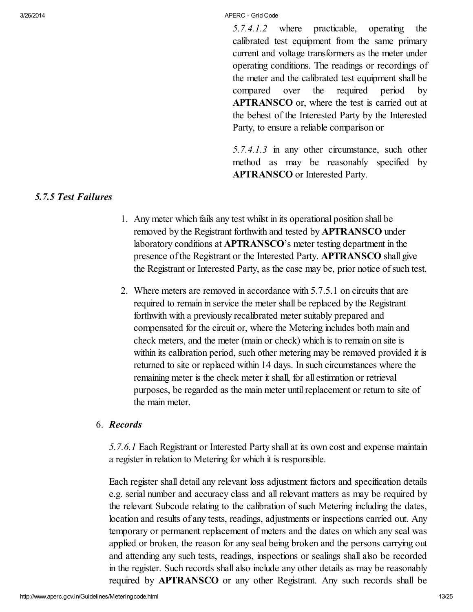*5.7.4.1.2* where practicable, operating the calibrated test equipment from the same primary current and voltage transformers as the meter under operating conditions. The readings or recordings of the meter and the calibrated test equipment shall be compared over the required period by APTRANSCO or, where the test is carried out at the behest of the Interested Party by the Interested Party, to ensure a reliable comparison or

*5.7.4.1.3* in any other circumstance, such other method as may be reasonably specified by APTRANSCO or Interested Party.

#### <span id="page-12-0"></span>*5.7.5 Test Failures*

- 1. Any meter which fails any test whilst in its operational position shall be removed by the Registrant forthwith and tested by APTRANSCO under laboratory conditions at APTRANSCO's meter testing department in the presence of the Registrant or the Interested Party. APTRANSCO shall give the Registrant or Interested Party, as the case may be, prior notice of such test.
- 2. Where meters are removed in accordance with 5.7.5.1 on circuits that are required to remain in service the meter shall be replaced by the Registrant forthwith with a previously recalibrated meter suitably prepared and compensated for the circuit or, where the Metering includes both main and check meters, and the meter (main or check) which is to remain on site is within its calibration period, such other metering may be removed provided it is returned to site or replaced within 14 days. In such circumstances where the remaining meter is the check meter it shall, for all estimation or retrieval purposes, be regarded as the main meter until replacement or return to site of the main meter.

# 6. *Records*

*5.7.6.1* Each Registrant or Interested Party shall at its own cost and expense maintain a register in relation to Metering for which it is responsible.

Each register shall detail any relevant loss adjustment factors and specification details e.g. serial number and accuracy class and all relevant matters as may be required by the relevant Subcode relating to the calibration of such Metering including the dates, location and results of any tests, readings, adjustments or inspections carried out. Any temporary or permanent replacement of meters and the dates on which any seal was applied or broken, the reason for any seal being broken and the persons carrying out and attending any such tests, readings, inspections or sealings shall also be recorded in the register. Such records shall also include any other details as may be reasonably required by APTRANSCO or any other Registrant. Any such records shall be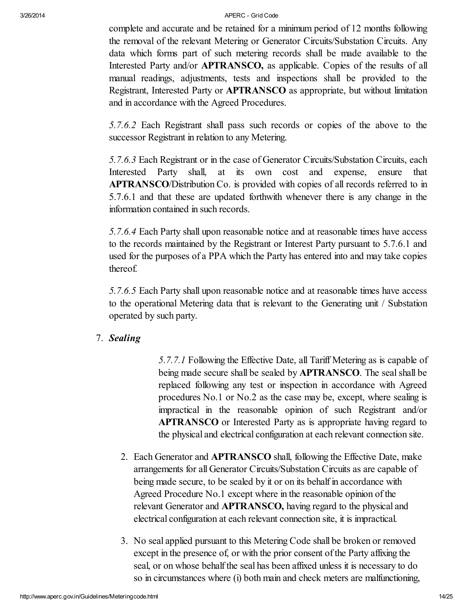complete and accurate and be retained for a minimum period of 12 months following the removal of the relevant Metering or Generator Circuits/Substation Circuits. Any data which forms part of such metering records shall be made available to the Interested Party and/or **APTRANSCO**, as applicable. Copies of the results of all manual readings, adjustments, tests and inspections shall be provided to the Registrant, Interested Party or APTRANSCO as appropriate, but without limitation and in accordance with the Agreed Procedures.

*5.7.6.2* Each Registrant shall pass such records or copies of the above to the successor Registrant in relation to any Metering.

*5.7.6.3* Each Registrant or in the case of Generator Circuits/Substation Circuits, each Interested Party shall, at its own cost and expense, ensure that APTRANSCO/Distribution Co. is provided with copies of all records referred to in 5.7.6.1 and that these are updated forthwith whenever there is any change in the information contained in such records.

*5.7.6.4* Each Party shall upon reasonable notice and at reasonable times have access to the records maintained by the Registrant or Interest Party pursuant to 5.7.6.1 and used for the purposes of a PPA which the Party has entered into and may take copies thereof.

*5.7.6.5* Each Party shall upon reasonable notice and at reasonable times have access to the operational Metering data that is relevant to the Generating unit / Substation operated by such party.

7. *Sealing*

*5.7.7.1* Following the Effective Date, all Tariff Metering as is capable of being made secure shall be sealed by **APTRANSCO**. The seal shall be replaced following any test or inspection in accordance with Agreed procedures No.1 or No.2 as the case may be, except, where sealing is impractical in the reasonable opinion of such Registrant and/or APTRANSCO or Interested Party as is appropriate having regard to the physical and electrical configuration at each relevant connection site.

- 2. Each Generator and APTRANSCO shall, following the Effective Date, make arrangements for all Generator Circuits/Substation Circuits as are capable of being made secure, to be sealed by it or on its behalf in accordance with Agreed Procedure No.1 except where in the reasonable opinion of the relevant Generator and APTRANSCO, having regard to the physical and electrical configuration at each relevant connection site, it is impractical.
- 3. No seal applied pursuant to this Metering Code shall be broken or removed except in the presence of, or with the prior consent of the Party affixing the seal, or on whose behalf the seal has been affixed unless it is necessary to do so in circumstances where (i) both main and check meters are malfunctioning,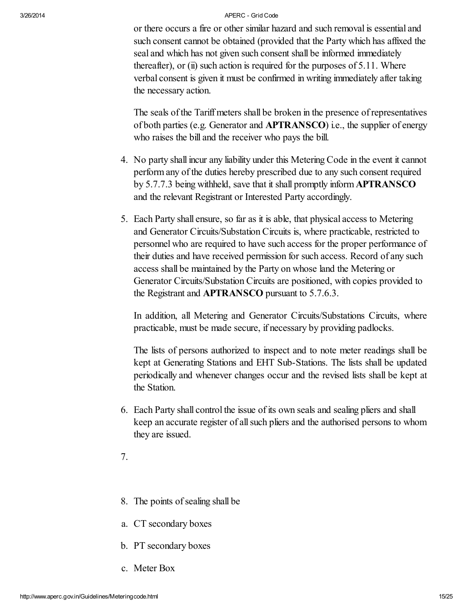or there occurs a fire or other similar hazard and such removal is essential and such consent cannot be obtained (provided that the Party which has affixed the seal and which has not given such consent shall be informed immediately thereafter), or  $(ii)$  such action is required for the purposes of 5.11. Where verbal consent is given it must be confirmed in writing immediately after taking the necessary action.

The seals of the Tariff meters shall be broken in the presence of representatives of both parties (e.g. Generator and APTRANSCO) i.e., the supplier of energy who raises the bill and the receiver who pays the bill.

- 4. No party shall incur any liability under this Metering Code in the event it cannot perform any of the duties hereby prescribed due to any such consent required by 5.7.7.3 being withheld, save that it shall promptly inform APTRANSCO and the relevant Registrant or Interested Party accordingly.
- 5. Each Party shall ensure, so far as it is able, that physical access to Metering and Generator Circuits/Substation Circuits is, where practicable, restricted to personnel who are required to have such access for the proper performance of their duties and have received permission for such access. Record of any such access shall be maintained by the Party on whose land the Metering or Generator Circuits/Substation Circuits are positioned, with copies provided to the Registrant and APTRANSCO pursuant to 5.7.6.3.

In addition, all Metering and Generator Circuits/Substations Circuits, where practicable, must be made secure, if necessary by providing padlocks.

The lists of persons authorized to inspect and to note meter readings shall be kept at Generating Stations and EHT Sub-Stations. The lists shall be updated periodically and whenever changes occur and the revised lists shall be kept at the Station.

6. Each Party shall control the issue of its own seals and sealing pliers and shall keep an accurate register of allsuch pliers and the authorised persons to whom they are issued.

7.

- 8. The points of sealing shall be
- a. CT secondary boxes
- b. PT secondary boxes
- c. Meter Box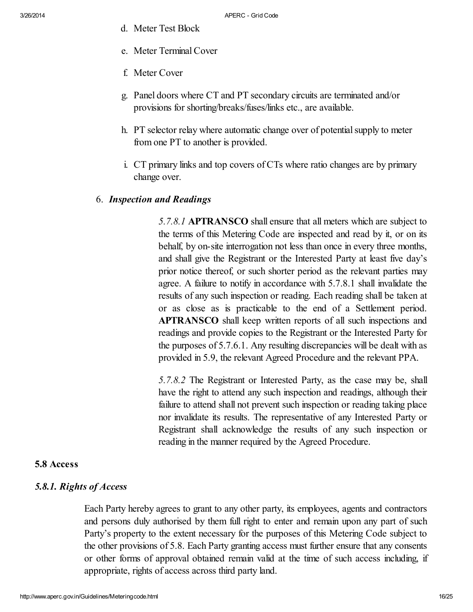- d. Meter Test Block
- e. Meter TerminalCover
- f. Meter Cover
- g. Panel doors where CT and PT secondary circuits are terminated and/or provisions for shorting/breaks/fuses/links etc., are available.
- h. PT selector relay where automatic change over of potential supply to meter from one PT to another is provided.
- i. CT primary links and top covers of CTs where ratio changes are by primary change over.

# 6. *Inspection and Readings*

*5.7.8.1* APTRANSCO shall ensure that all meters which are subject to the terms of this Metering Code are inspected and read by it, or on its behalf, by on-site interrogation not less than once in every three months, and shall give the Registrant or the Interested Party at least five day's prior notice thereof, or such shorter period as the relevant parties may agree. A failure to notify in accordance with 5.7.8.1 shall invalidate the results of any such inspection or reading. Each reading shall be taken at or as close as is practicable to the end of a Settlement period. APTRANSCO shall keep written reports of all such inspections and readings and provide copies to the Registrant or the Interested Party for the purposes of 5.7.6.1. Any resulting discrepancies will be dealt with as provided in 5.9, the relevant Agreed Procedure and the relevant PPA.

*5.7.8.2* The Registrant or Interested Party, as the case may be, shall have the right to attend any such inspection and readings, although their failure to attend shall not prevent such inspection or reading taking place nor invalidate its results. The representative of any Interested Party or Registrant shall acknowledge the results of any such inspection or reading in the manner required by the Agreed Procedure.

# <span id="page-15-0"></span>5.8 Access

# <span id="page-15-1"></span>*5.8.1. Rights of Access*

Each Party hereby agrees to grant to any other party, its employees, agents and contractors and persons duly authorised by them full right to enter and remain upon any part of such Party's property to the extent necessary for the purposes of this Metering Code subject to the other provisions of 5.8. Each Party granting access must further ensure that any consents or other forms of approval obtained remain valid at the time of such access including, if appropriate, rights of access across third party land.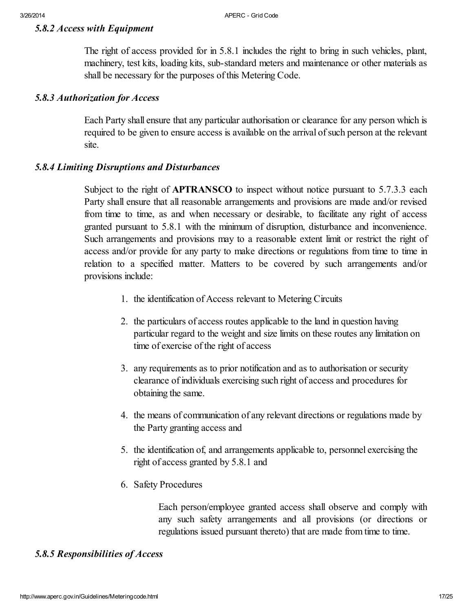#### <span id="page-16-0"></span>*5.8.2 Access with Equipment*

The right of access provided for in 5.8.1 includes the right to bring in such vehicles, plant, machinery, test kits, loading kits, sub-standard meters and maintenance or other materials as shall be necessary for the purposes of this Metering Code.

#### <span id="page-16-1"></span>*5.8.3 Authorization for Access*

Each Party shall ensure that any particular authorisation or clearance for any person which is required to be given to ensure access is available on the arrival of such person at the relevant site.

# <span id="page-16-2"></span>*5.8.4 Limiting Disruptions and Disturbances*

Subject to the right of **APTRANSCO** to inspect without notice pursuant to 5.7.3.3 each Party shall ensure that all reasonable arrangements and provisions are made and/or revised from time to time, as and when necessary or desirable, to facilitate any right of access granted pursuant to 5.8.1 with the minimum of disruption, disturbance and inconvenience. Such arrangements and provisions may to a reasonable extent limit or restrict the right of access and/or provide for any party to make directions or regulations from time to time in relation to a specified matter. Matters to be covered by such arrangements and/or provisions include:

- 1. the identification of Access relevant to Metering Circuits
- 2. the particulars of access routes applicable to the land in question having particular regard to the weight and size limits on these routes any limitation on time of exercise of the right of access
- 3. any requirements as to prior notification and as to authorisation or security clearance of individuals exercising such right of access and procedures for obtaining the same.
- 4. the means of communication of any relevant directions or regulations made by the Party granting access and
- 5. the identification of, and arrangements applicable to, personnel exercising the right of access granted by 5.8.1 and
- 6. Safety Procedures

Each person/employee granted access shall observe and comply with any such safety arrangements and all provisions (or directions or regulations issued pursuant thereto) that are made from time to time.

# <span id="page-16-3"></span>*5.8.5 Responsibilities of Access*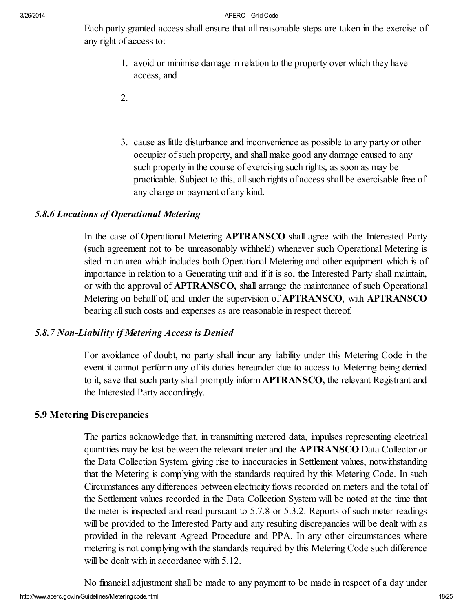Each party granted access shall ensure that all reasonable steps are taken in the exercise of any right of access to:

- 1. avoid or minimise damage in relation to the property over which they have access, and
- 2.
- 3. cause as little disturbance and inconvenience as possible to any party or other occupier of such property, and shall make good any damage caused to any such property in the course of exercising such rights, as soon as may be practicable. Subject to this, allsuch rights of access shall be exercisable free of any charge or payment of any kind.

# <span id="page-17-0"></span>*5.8.6 Locations of Operational Metering*

In the case of Operational Metering **APTRANSCO** shall agree with the Interested Party (such agreement not to be unreasonably withheld) whenever such Operational Metering is sited in an area which includes both Operational Metering and other equipment which is of importance in relation to a Generating unit and if it is so, the Interested Party shall maintain, or with the approval of APTRANSCO, shall arrange the maintenance of such Operational Metering on behalf of, and under the supervision of APTRANSCO, with APTRANSCO bearing all such costs and expenses as are reasonable in respect thereof.

# <span id="page-17-1"></span>*5.8.7 Non-Liability if Metering Access is Denied*

For avoidance of doubt, no party shall incur any liability under this Metering Code in the event it cannot perform any of its duties hereunder due to access to Metering being denied to it, save that such party shall promptly inform APTRANSCO, the relevant Registrant and the Interested Party accordingly.

# <span id="page-17-2"></span>5.9 Metering Discrepancies

The parties acknowledge that, in transmitting metered data, impulses representing electrical quantities may be lost between the relevant meter and the APTRANSCO Data Collector or the Data Collection System, giving rise to inaccuracies in Settlement values, notwithstanding that the Metering is complying with the standards required by this Metering Code. In such Circumstances any differences between electricity flows recorded on meters and the total of the Settlement values recorded in the Data Collection System will be noted at the time that the meter is inspected and read pursuant to 5.7.8 or 5.3.2. Reports of such meter readings will be provided to the Interested Party and any resulting discrepancies will be dealt with as provided in the relevant Agreed Procedure and PPA. In any other circumstances where metering is not complying with the standards required by this Metering Code such difference will be dealt with in accordance with  $5.12$ .

http://www.aperc.gov.in/Guidelines/Meteringcode.html 18/25 No financial adjustment shall be made to any payment to be made in respect of a day under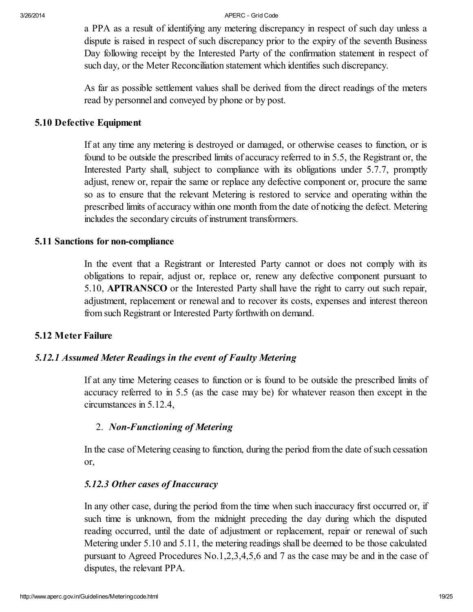a PPA as a result of identifying any metering discrepancy in respect of such day unless a dispute is raised in respect of such discrepancy prior to the expiry of the seventh Business Day following receipt by the Interested Party of the confirmation statement in respect of such day, or the Meter Reconciliation statement which identifies such discrepancy.

As far as possible settlement values shall be derived from the direct readings of the meters read by personnel and conveyed by phone or by post.

# <span id="page-18-0"></span>5.10 Defective Equipment

If at any time any metering is destroyed or damaged, or otherwise ceases to function, or is found to be outside the prescribed limits of accuracy referred to in 5.5, the Registrant or, the Interested Party shall, subject to compliance with its obligations under 5.7.7, promptly adjust, renew or, repair the same or replace any defective component or, procure the same so as to ensure that the relevant Metering is restored to service and operating within the prescribed limits of accuracy within one month from the date of noticing the defect. Metering includes the secondary circuits of instrument transformers.

# <span id="page-18-1"></span>5.11 Sanctions for non-compliance

In the event that a Registrant or Interested Party cannot or does not comply with its obligations to repair, adjust or, replace or, renew any defective component pursuant to 5.10, APTRANSCO or the Interested Party shall have the right to carry out such repair, adjustment, replacement or renewal and to recover its costs, expenses and interest thereon from such Registrant or Interested Party forthwith on demand.

# <span id="page-18-2"></span>5.12 Meter Failure

# <span id="page-18-3"></span>*5.12.1 Assumed Meter Readings in the event of Faulty Metering*

If at any time Metering ceases to function or is found to be outside the prescribed limits of accuracy referred to in 5.5 (as the case may be) for whatever reason then except in the circumstances in 5.12.4,

# 2. *Non-Functioning of Metering*

In the case of Metering ceasing to function, during the period from the date of such cessation or,

# *5.12.3 Other cases of Inaccuracy*

In any other case, during the period from the time when such inaccuracy first occurred or, if such time is unknown, from the midnight preceding the day during which the disputed reading occurred, until the date of adjustment or replacement, repair or renewal of such Metering under 5.10 and 5.11, the metering readings shall be deemed to be those calculated pursuant to Agreed Procedures No.1,2,3,4,5,6 and 7 as the case may be and in the case of disputes, the relevant PPA.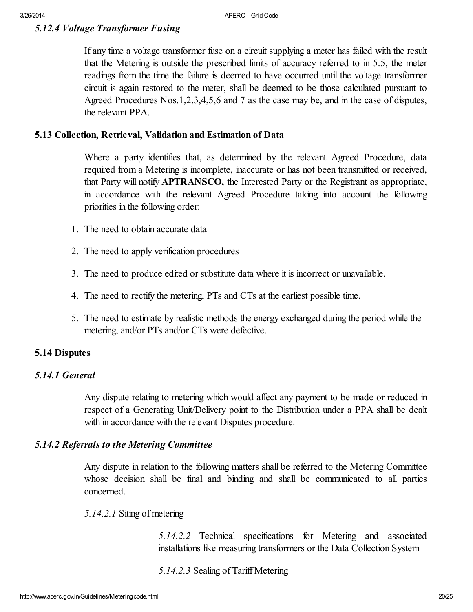# <span id="page-19-0"></span>*5.12.4 Voltage Transformer Fusing*

If any time a voltage transformer fuse on a circuit supplying a meter has failed with the result that the Metering is outside the prescribed limits of accuracy referred to in 5.5, the meter readings from the time the failure is deemed to have occurred until the voltage transformer circuit is again restored to the meter, shall be deemed to be those calculated pursuant to Agreed Procedures Nos.1,2,3,4,5,6 and 7 as the case may be, and in the case of disputes, the relevant PPA.

#### <span id="page-19-1"></span>5.13 Collection, Retrieval, Validation and Estimation of Data

Where a party identifies that, as determined by the relevant Agreed Procedure, data required from a Metering is incomplete, inaccurate or has not been transmitted or received, that Party will notify APTRANSCO, the Interested Party or the Registrant as appropriate, in accordance with the relevant Agreed Procedure taking into account the following priorities in the following order:

- 1. The need to obtain accurate data
- 2. The need to apply verification procedures
- 3. The need to produce edited or substitute data where it is incorrect or unavailable.
- 4. The need to rectify the metering, PTs and CTs at the earliest possible time.
- 5. The need to estimate by realistic methods the energy exchanged during the period while the metering, and/or PTs and/or CTs were defective.

#### <span id="page-19-2"></span>5.14 Disputes

# <span id="page-19-3"></span>*5.14.1 General*

Any dispute relating to metering which would affect any payment to be made or reduced in respect of a Generating Unit/Delivery point to the Distribution under a PPA shall be dealt with in accordance with the relevant Disputes procedure.

#### <span id="page-19-4"></span>*5.14.2 Referrals to the Metering Committee*

Any dispute in relation to the following matters shall be referred to the Metering Committee whose decision shall be final and binding and shall be communicated to all parties concerned.

#### *5.14.2.1* Siting of metering

*5.14.2.2* Technical specifications for Metering and associated installations like measuring transformers or the Data Collection System

#### *5.14.2.3* Sealing of Tariff Metering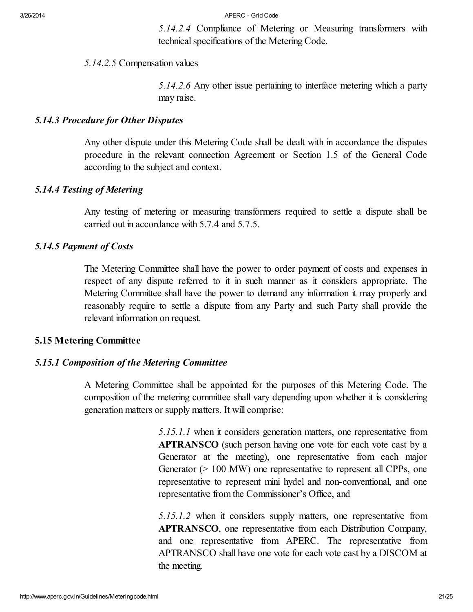*5.14.2.4* Compliance of Metering or Measuring transformers with technical specifications of the Metering Code.

# *5.14.2.5* Compensation values

*5.14.2.6* Any other issue pertaining to interface metering which a party may raise.

#### <span id="page-20-0"></span>*5.14.3 Procedure for Other Disputes*

Any other dispute under this Metering Code shall be dealt with in accordance the disputes procedure in the relevant connection Agreement or Section 1.5 of the General Code according to the subject and context.

# <span id="page-20-1"></span>*5.14.4 Testing of Metering*

Any testing of metering or measuring transformers required to settle a dispute shall be carried out in accordance with 5.7.4 and 5.7.5.

# <span id="page-20-2"></span>*5.14.5 Payment of Costs*

The Metering Committee shall have the power to order payment of costs and expenses in respect of any dispute referred to it in such manner as it considers appropriate. The Metering Committee shall have the power to demand any information it may properly and reasonably require to settle a dispute from any Party and such Party shall provide the relevant information on request.

# <span id="page-20-3"></span>5.15 Metering Committee

# <span id="page-20-4"></span>*5.15.1 Composition of the Metering Committee*

A Metering Committee shall be appointed for the purposes of this Metering Code. The composition of the metering committee shall vary depending upon whether it is considering generation matters or supply matters. It will comprise:

> *5.15.1.1* when it considers generation matters, one representative from APTRANSCO (such person having one vote for each vote cast by a Generator at the meeting), one representative from each major Generator (> 100 MW) one representative to represent all CPPs, one representative to represent mini hydel and non-conventional, and one representative from the Commissioner's Office, and

> *5.15.1.2* when it considers supply matters, one representative from APTRANSCO, one representative from each Distribution Company, and one representative from APERC. The representative from APTRANSCO shall have one vote for each vote cast by a DISCOM at the meeting.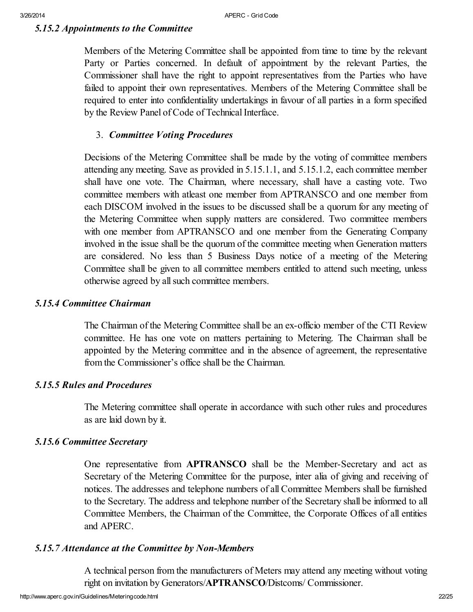# <span id="page-21-0"></span>*5.15.2 Appointments to the Committee*

Members of the Metering Committee shall be appointed from time to time by the relevant Party or Parties concerned. In default of appointment by the relevant Parties, the Commissioner shall have the right to appoint representatives from the Parties who have failed to appoint their own representatives. Members of the Metering Committee shall be required to enter into confidentiality undertakings in favour of all parties in a form specified by the Review Panel of Code of Technical Interface.

# 3. *Committee Voting Procedures*

Decisions of the Metering Committee shall be made by the voting of committee members attending any meeting. Save as provided in 5.15.1.1, and 5.15.1.2, each committee member shall have one vote. The Chairman, where necessary, shall have a casting vote. Two committee members with atleast one member from APTRANSCO and one member from each DISCOM involved in the issues to be discussed shall be a quorum for any meeting of the Metering Committee when supply matters are considered. Two committee members with one member from APTRANSCO and one member from the Generating Company involved in the issue shall be the quorum of the committee meeting when Generation matters are considered. No less than 5 Business Days notice of a meeting of the Metering Committee shall be given to all committee members entitled to attend such meeting, unless otherwise agreed by allsuch committee members.

#### <span id="page-21-1"></span>*5.15.4 Committee Chairman*

The Chairman of the Metering Committee shall be an ex-officio member of the CTI Review committee. He has one vote on matters pertaining to Metering. The Chairman shall be appointed by the Metering committee and in the absence of agreement, the representative from the Commissioner's office shall be the Chairman.

# <span id="page-21-2"></span>*5.15.5 Rules and Procedures*

The Metering committee shall operate in accordance with such other rules and procedures as are laid down by it.

# <span id="page-21-3"></span>*5.15.6 Committee Secretary*

One representative from APTRANSCO shall be the Member-Secretary and act as Secretary of the Metering Committee for the purpose, inter alia of giving and receiving of notices. The addresses and telephone numbers of all Committee Members shall be furnished to the Secretary. The address and telephone number of the Secretary shall be informed to all Committee Members, the Chairman of the Committee, the Corporate Offices of all entities and APERC.

#### <span id="page-21-4"></span>*5.15.7 Attendance at the Committee by Non-Members*

A technical person from the manufacturers of Meters may attend any meeting without voting right on invitation by Generators/APTRANSCO/Distcoms/ Commissioner.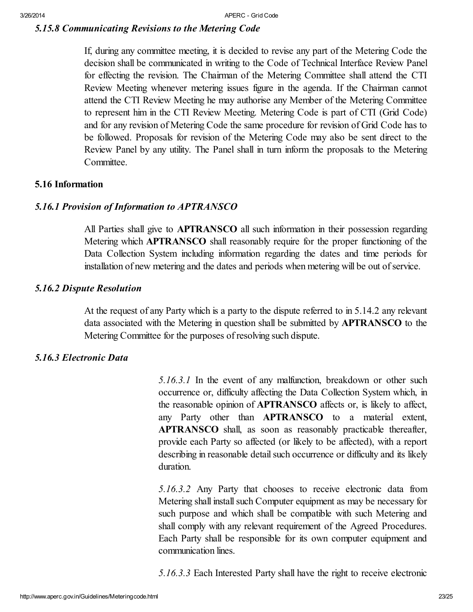# <span id="page-22-0"></span>*5.15.8 Communicating Revisions to the Metering Code*

If, during any committee meeting, it is decided to revise any part of the Metering Code the decision shall be communicated in writing to the Code of Technical Interface Review Panel for effecting the revision. The Chairman of the Metering Committee shall attend the CTI Review Meeting whenever metering issues figure in the agenda. If the Chairman cannot attend the CTI Review Meeting he may authorise any Member of the Metering Committee to represent him in the CTI Review Meeting. Metering Code is part of CTI (Grid Code) and for any revision of Metering Code the same procedure for revision of Grid Code has to be followed. Proposals for revision of the Metering Code may also be sent direct to the Review Panel by any utility. The Panel shall in turn inform the proposals to the Metering Committee.

# <span id="page-22-1"></span>5.16 Information

# <span id="page-22-2"></span>*5.16.1 Provision of Information to APTRANSCO*

All Parties shall give to **APTRANSCO** all such information in their possession regarding Metering which APTRANSCO shall reasonably require for the proper functioning of the Data Collection System including information regarding the dates and time periods for installation of new metering and the dates and periods when metering will be out of service.

# <span id="page-22-3"></span>*5.16.2 Dispute Resolution*

At the request of any Party which is a party to the dispute referred to in 5.14.2 any relevant data associated with the Metering in question shall be submitted by APTRANSCO to the Metering Committee for the purposes of resolving such dispute.

# <span id="page-22-4"></span>*5.16.3 Electronic Data*

*5.16.3.1* In the event of any malfunction, breakdown or other such occurrence or, difficulty affecting the Data Collection System which, in the reasonable opinion of APTRANSCO affects or, is likely to affect, any Party other than APTRANSCO to a material extent, APTRANSCO shall, as soon as reasonably practicable thereafter, provide each Party so affected (or likely to be affected), with a report describing in reasonable detail such occurrence or difficulty and its likely duration.

*5.16.3.2* Any Party that chooses to receive electronic data from Metering shall install such Computer equipment as may be necessary for such purpose and which shall be compatible with such Metering and shall comply with any relevant requirement of the Agreed Procedures. Each Party shall be responsible for its own computer equipment and communication lines.

*5.16.3.3* Each Interested Party shall have the right to receive electronic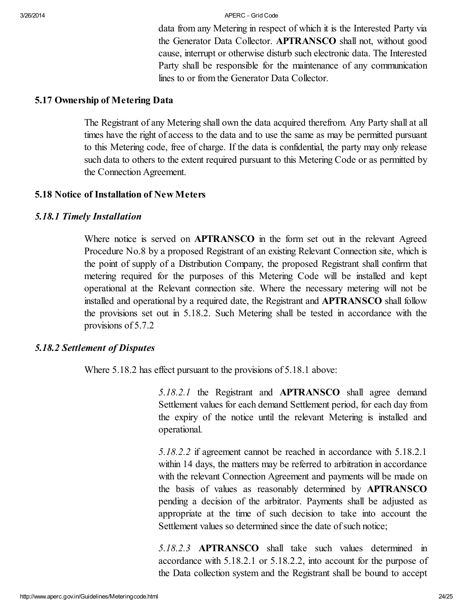data from any Metering in respect of which it is the Interested Party via the Generator Data Collector. APTRANSCO shall not, without good cause, interrupt or otherwise disturb such electronic data. The Interested Party shall be responsible for the maintenance of any communication lines to or from the Generator Data Collector.

#### <span id="page-23-0"></span>5.17 Ownership of Metering Data

The Registrant of any Metering shall own the data acquired therefrom. Any Party shall at all times have the right of access to the data and to use the same as may be permitted pursuant to this Metering code, free of charge. If the data is confidential, the party may only release such data to others to the extent required pursuant to this Metering Code or as permitted by the Connection Agreement.

#### <span id="page-23-1"></span>5.18 Notice of Installation of NewMeters

#### <span id="page-23-2"></span>*5.18.1 Timely Installation*

Where notice is served on **APTRANSCO** in the form set out in the relevant Agreed Procedure No.8 by a proposed Registrant of an existing Relevant Connection site, which is the point of supply of a Distribution Company, the proposed Registrant shall confirm that metering required for the purposes of this Metering Code will be installed and kept operational at the Relevant connection site. Where the necessary metering will not be installed and operational by a required date, the Registrant and APTRANSCO shall follow the provisions set out in 5.18.2. Such Metering shall be tested in accordance with the provisions of 5.7.2

#### <span id="page-23-3"></span>*5.18.2 Settlement of Disputes*

Where 5.18.2 has effect pursuant to the provisions of 5.18.1 above:

*5.18.2.1* the Registrant and APTRANSCO shall agree demand Settlement values for each demand Settlement period, for each day from the expiry of the notice until the relevant Metering is installed and operational.

*5.18.2.2* if agreement cannot be reached in accordance with 5.18.2.1 within 14 days, the matters may be referred to arbitration in accordance with the relevant Connection Agreement and payments will be made on the basis of values as reasonably determined by APTRANSCO pending a decision of the arbitrator. Payments shall be adjusted as appropriate at the time of such decision to take into account the Settlement values so determined since the date of such notice;

*5.18.2.3* APTRANSCO shall take such values determined in accordance with 5.18.2.1 or 5.18.2.2, into account for the purpose of the Data collection system and the Registrant shall be bound to accept